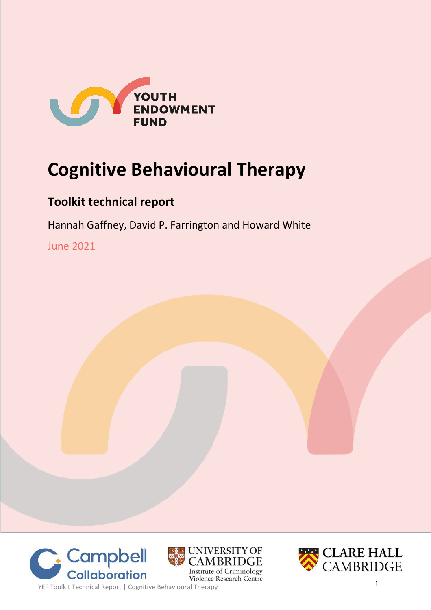

# **Cognitive Behavioural Therapy**

# **Toolkit technical report**

Hannah Gaffney, David P. Farrington and Howard White

June 2021







**1 COILCIDOTOTION**<br>
YEF Toolkit Technical Report | Cognitive Behavioural Therapy<br> **1**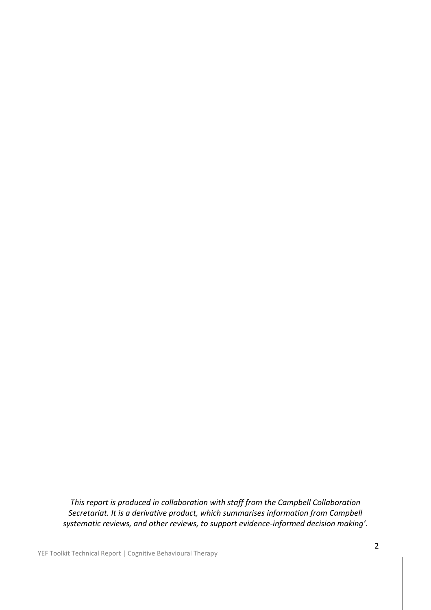*This report is produced in collaboration with staff from the Campbell Collaboration Secretariat. It is a derivative product, which summarises information from Campbell systematic reviews, and other reviews, to support evidence-informed decision making'.*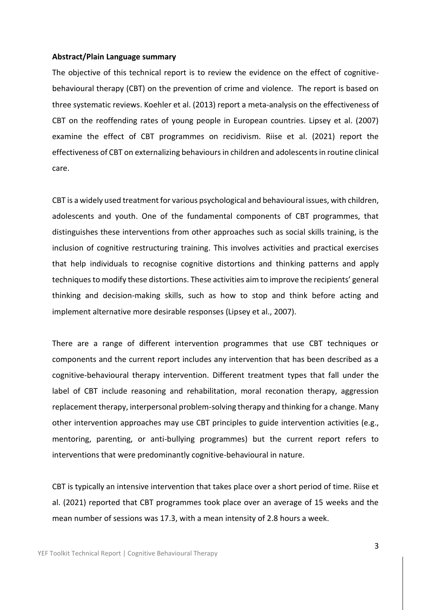#### **Abstract/Plain Language summary**

The objective of this technical report is to review the evidence on the effect of cognitivebehavioural therapy (CBT) on the prevention of crime and violence. The report is based on three systematic reviews. Koehler et al. (2013) report a meta-analysis on the effectiveness of CBT on the reoffending rates of young people in European countries. Lipsey et al. (2007) examine the effect of CBT programmes on recidivism. Riise et al. (2021) report the effectiveness of CBT on externalizing behaviours in children and adolescents in routine clinical care.

CBT is a widely used treatment for various psychological and behavioural issues, with children, adolescents and youth. One of the fundamental components of CBT programmes, that distinguishes these interventions from other approaches such as social skills training, is the inclusion of cognitive restructuring training. This involves activities and practical exercises that help individuals to recognise cognitive distortions and thinking patterns and apply techniques to modify these distortions. These activities aim to improve the recipients' general thinking and decision-making skills, such as how to stop and think before acting and implement alternative more desirable responses (Lipsey et al., 2007).

There are a range of different intervention programmes that use CBT techniques or components and the current report includes any intervention that has been described as a cognitive-behavioural therapy intervention. Different treatment types that fall under the label of CBT include reasoning and rehabilitation, moral reconation therapy, aggression replacement therapy, interpersonal problem-solving therapy and thinking for a change. Many other intervention approaches may use CBT principles to guide intervention activities (e.g., mentoring, parenting, or anti-bullying programmes) but the current report refers to interventions that were predominantly cognitive-behavioural in nature.

CBT is typically an intensive intervention that takes place over a short period of time. Riise et al. (2021) reported that CBT programmes took place over an average of 15 weeks and the mean number of sessions was 17.3, with a mean intensity of 2.8 hours a week.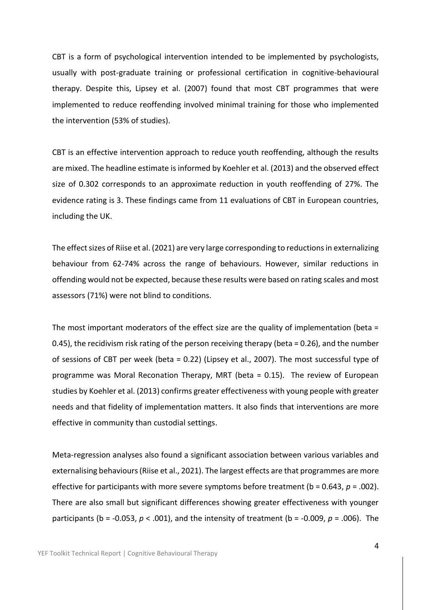CBT is a form of psychological intervention intended to be implemented by psychologists, usually with post-graduate training or professional certification in cognitive-behavioural therapy. Despite this, Lipsey et al. (2007) found that most CBT programmes that were implemented to reduce reoffending involved minimal training for those who implemented the intervention (53% of studies).

CBT is an effective intervention approach to reduce youth reoffending, although the results are mixed. The headline estimate is informed by Koehler et al. (2013) and the observed effect size of 0.302 corresponds to an approximate reduction in youth reoffending of 27%. The evidence rating is 3. These findings came from 11 evaluations of CBT in European countries, including the UK.

The effect sizes of Riise et al. (2021) are very large corresponding to reductions in externalizing behaviour from 62-74% across the range of behaviours. However, similar reductions in offending would not be expected, because these results were based on rating scales and most assessors (71%) were not blind to conditions.

The most important moderators of the effect size are the quality of implementation (beta = 0.45), the recidivism risk rating of the person receiving therapy (beta = 0.26), and the number of sessions of CBT per week (beta = 0.22) (Lipsey et al., 2007). The most successful type of programme was Moral Reconation Therapy, MRT (beta = 0.15). The review of European studies by Koehler et al. (2013) confirms greater effectiveness with young people with greater needs and that fidelity of implementation matters. It also finds that interventions are more effective in community than custodial settings.

Meta-regression analyses also found a significant association between various variables and externalising behaviours (Riise et al., 2021). The largest effects are that programmes are more effective for participants with more severe symptoms before treatment (b = 0.643, *p* = .002). There are also small but significant differences showing greater effectiveness with younger participants (b = -0.053, *p* < .001), and the intensity of treatment (b = -0.009, *p* = .006). The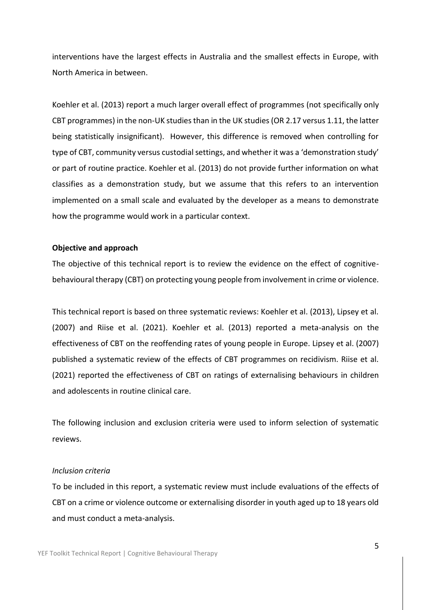interventions have the largest effects in Australia and the smallest effects in Europe, with North America in between.

Koehler et al. (2013) report a much larger overall effect of programmes (not specifically only CBT programmes) in the non-UK studies than in the UK studies (OR 2.17 versus 1.11, the latter being statistically insignificant). However, this difference is removed when controlling for type of CBT, community versus custodial settings, and whether it was a 'demonstration study' or part of routine practice. Koehler et al. (2013) do not provide further information on what classifies as a demonstration study, but we assume that this refers to an intervention implemented on a small scale and evaluated by the developer as a means to demonstrate how the programme would work in a particular context.

#### **Objective and approach**

The objective of this technical report is to review the evidence on the effect of cognitivebehavioural therapy (CBT) on protecting young people from involvement in crime or violence.

This technical report is based on three systematic reviews: Koehler et al. (2013), Lipsey et al. (2007) and Riise et al. (2021). Koehler et al. (2013) reported a meta-analysis on the effectiveness of CBT on the reoffending rates of young people in Europe. Lipsey et al. (2007) published a systematic review of the effects of CBT programmes on recidivism. Riise et al. (2021) reported the effectiveness of CBT on ratings of externalising behaviours in children and adolescents in routine clinical care.

The following inclusion and exclusion criteria were used to inform selection of systematic reviews.

#### *Inclusion criteria*

To be included in this report, a systematic review must include evaluations of the effects of CBT on a crime or violence outcome or externalising disorder in youth aged up to 18 years old and must conduct a meta-analysis.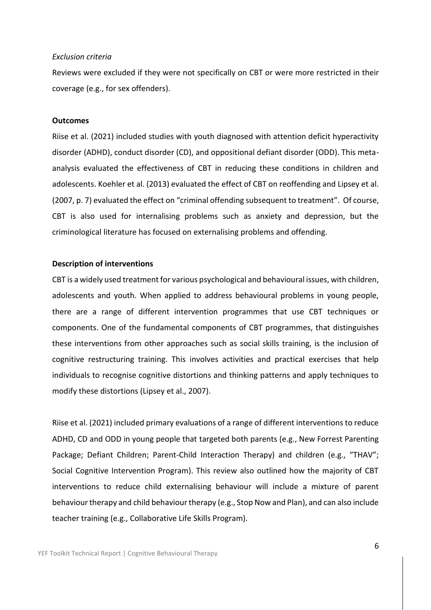#### *Exclusion criteria*

Reviews were excluded if they were not specifically on CBT or were more restricted in their coverage (e.g., for sex offenders).

#### **Outcomes**

Riise et al. (2021) included studies with youth diagnosed with attention deficit hyperactivity disorder (ADHD), conduct disorder (CD), and oppositional defiant disorder (ODD). This metaanalysis evaluated the effectiveness of CBT in reducing these conditions in children and adolescents. Koehler et al. (2013) evaluated the effect of CBT on reoffending and Lipsey et al. (2007, p. 7) evaluated the effect on "criminal offending subsequent to treatment". Of course, CBT is also used for internalising problems such as anxiety and depression, but the criminological literature has focused on externalising problems and offending.

#### **Description of interventions**

CBT is a widely used treatment for various psychological and behavioural issues, with children, adolescents and youth. When applied to address behavioural problems in young people, there are a range of different intervention programmes that use CBT techniques or components. One of the fundamental components of CBT programmes, that distinguishes these interventions from other approaches such as social skills training, is the inclusion of cognitive restructuring training. This involves activities and practical exercises that help individuals to recognise cognitive distortions and thinking patterns and apply techniques to modify these distortions (Lipsey et al., 2007).

Riise et al. (2021) included primary evaluations of a range of different interventions to reduce ADHD, CD and ODD in young people that targeted both parents (e.g., New Forrest Parenting Package; Defiant Children; Parent-Child Interaction Therapy) and children (e.g., "THAV"; Social Cognitive Intervention Program). This review also outlined how the majority of CBT interventions to reduce child externalising behaviour will include a mixture of parent behaviour therapy and child behaviour therapy (e.g., Stop Now and Plan), and can also include teacher training (e.g., Collaborative Life Skills Program).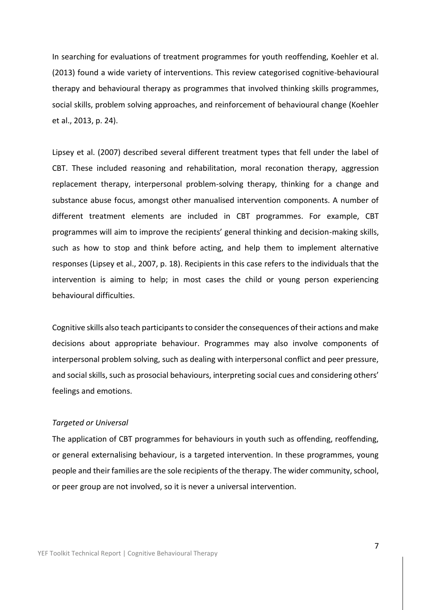In searching for evaluations of treatment programmes for youth reoffending, Koehler et al. (2013) found a wide variety of interventions. This review categorised cognitive-behavioural therapy and behavioural therapy as programmes that involved thinking skills programmes, social skills, problem solving approaches, and reinforcement of behavioural change (Koehler et al., 2013, p. 24).

Lipsey et al. (2007) described several different treatment types that fell under the label of CBT. These included reasoning and rehabilitation, moral reconation therapy, aggression replacement therapy, interpersonal problem-solving therapy, thinking for a change and substance abuse focus, amongst other manualised intervention components. A number of different treatment elements are included in CBT programmes. For example, CBT programmes will aim to improve the recipients' general thinking and decision-making skills, such as how to stop and think before acting, and help them to implement alternative responses (Lipsey et al., 2007, p. 18). Recipients in this case refers to the individuals that the intervention is aiming to help; in most cases the child or young person experiencing behavioural difficulties.

Cognitive skills also teach participants to consider the consequences of their actions and make decisions about appropriate behaviour. Programmes may also involve components of interpersonal problem solving, such as dealing with interpersonal conflict and peer pressure, and social skills, such as prosocial behaviours, interpreting social cues and considering others' feelings and emotions.

#### *Targeted or Universal*

The application of CBT programmes for behaviours in youth such as offending, reoffending, or general externalising behaviour, is a targeted intervention. In these programmes, young people and their families are the sole recipients of the therapy. The wider community, school, or peer group are not involved, so it is never a universal intervention.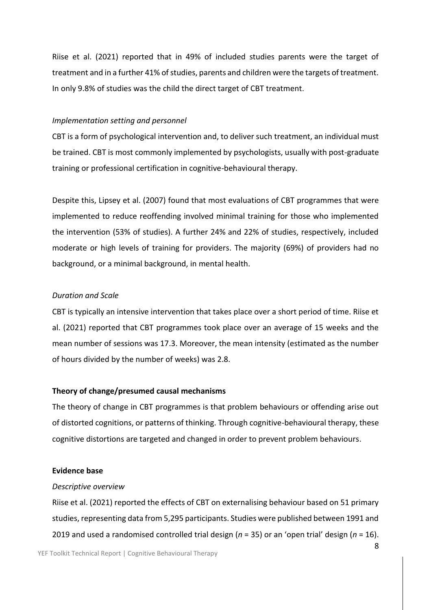Riise et al. (2021) reported that in 49% of included studies parents were the target of treatment and in a further 41% of studies, parents and children were the targets of treatment. In only 9.8% of studies was the child the direct target of CBT treatment.

#### *Implementation setting and personnel*

CBT is a form of psychological intervention and, to deliver such treatment, an individual must be trained. CBT is most commonly implemented by psychologists, usually with post-graduate training or professional certification in cognitive-behavioural therapy.

Despite this, Lipsey et al. (2007) found that most evaluations of CBT programmes that were implemented to reduce reoffending involved minimal training for those who implemented the intervention (53% of studies). A further 24% and 22% of studies, respectively, included moderate or high levels of training for providers. The majority (69%) of providers had no background, or a minimal background, in mental health.

### *Duration and Scale*

CBT is typically an intensive intervention that takes place over a short period of time. Riise et al. (2021) reported that CBT programmes took place over an average of 15 weeks and the mean number of sessions was 17.3. Moreover, the mean intensity (estimated as the number of hours divided by the number of weeks) was 2.8.

#### **Theory of change/presumed causal mechanisms**

The theory of change in CBT programmes is that problem behaviours or offending arise out of distorted cognitions, or patterns of thinking. Through cognitive-behavioural therapy, these cognitive distortions are targeted and changed in order to prevent problem behaviours.

#### **Evidence base**

#### *Descriptive overview*

Riise et al. (2021) reported the effects of CBT on externalising behaviour based on 51 primary studies, representing data from 5,295 participants. Studies were published between 1991 and 2019 and used a randomised controlled trial design (*n* = 35) or an 'open trial' design (*n* = 16).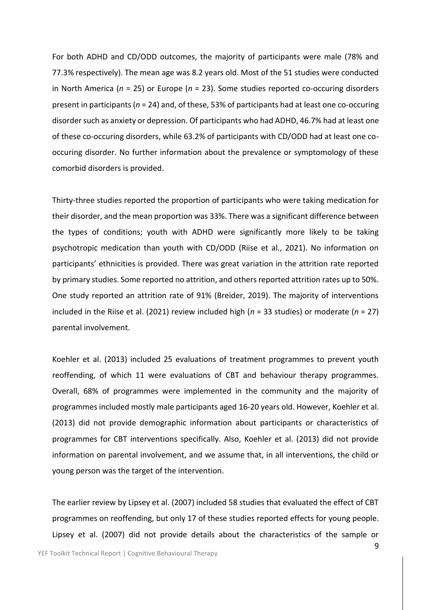For both ADHD and CD/ODD outcomes, the majority of participants were male (78% and 77.3% respectively). The mean age was 8.2 years old. Most of the 51 studies were conducted in North America (*n* = 25) or Europe (*n* = 23). Some studies reported co-occuring disorders present in participants (*n* = 24) and, of these, 53% of participants had at least one co-occuring disorder such as anxiety or depression. Of participants who had ADHD, 46.7% had at least one of these co-occuring disorders, while 63.2% of participants with CD/ODD had at least one cooccuring disorder. No further information about the prevalence or symptomology of these comorbid disorders is provided.

Thirty-three studies reported the proportion of participants who were taking medication for their disorder, and the mean proportion was 33%. There was a significant difference between the types of conditions; youth with ADHD were significantly more likely to be taking psychotropic medication than youth with CD/ODD (Riise et al., 2021). No information on participants' ethnicities is provided. There was great variation in the attrition rate reported by primary studies. Some reported no attrition, and others reported attrition rates up to 50%. One study reported an attrition rate of 91% (Breider, 2019). The majority of interventions included in the Riise et al. (2021) review included high (*n* = 33 studies) or moderate (*n* = 27) parental involvement.

Koehler et al. (2013) included 25 evaluations of treatment programmes to prevent youth reoffending, of which 11 were evaluations of CBT and behaviour therapy programmes. Overall, 68% of programmes were implemented in the community and the majority of programmes included mostly male participants aged 16-20 years old. However, Koehler et al. (2013) did not provide demographic information about participants or characteristics of programmes for CBT interventions specifically. Also, Koehler et al. (2013) did not provide information on parental involvement, and we assume that, in all interventions, the child or young person was the target of the intervention.

The earlier review by Lipsey et al. (2007) included 58 studies that evaluated the effect of CBT programmes on reoffending, but only 17 of these studies reported effects for young people. Lipsey et al. (2007) did not provide details about the characteristics of the sample or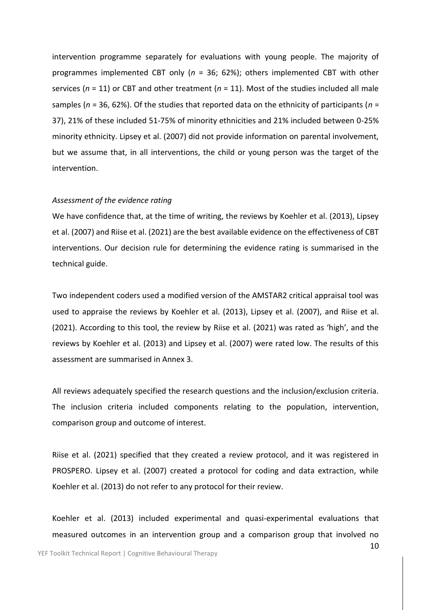intervention programme separately for evaluations with young people. The majority of programmes implemented CBT only (*n* = 36; 62%); others implemented CBT with other services (*n* = 11) or CBT and other treatment (*n* = 11). Most of the studies included all male samples (*n* = 36, 62%). Of the studies that reported data on the ethnicity of participants (*n* = 37), 21% of these included 51-75% of minority ethnicities and 21% included between 0-25% minority ethnicity. Lipsey et al. (2007) did not provide information on parental involvement, but we assume that, in all interventions, the child or young person was the target of the intervention.

#### *Assessment of the evidence rating*

We have confidence that, at the time of writing, the reviews by Koehler et al. (2013), Lipsey et al. (2007) and Riise et al. (2021) are the best available evidence on the effectiveness of CBT interventions. Our decision rule for determining the evidence rating is summarised in the technical guide.

Two independent coders used a modified version of the AMSTAR2 critical appraisal tool was used to appraise the reviews by Koehler et al. (2013), Lipsey et al. (2007), and Riise et al. (2021). According to this tool, the review by Riise et al. (2021) was rated as 'high', and the reviews by Koehler et al. (2013) and Lipsey et al. (2007) were rated low. The results of this assessment are summarised in Annex 3.

All reviews adequately specified the research questions and the inclusion/exclusion criteria. The inclusion criteria included components relating to the population, intervention, comparison group and outcome of interest.

Riise et al. (2021) specified that they created a review protocol, and it was registered in PROSPERO. Lipsey et al. (2007) created a protocol for coding and data extraction, while Koehler et al. (2013) do not refer to any protocol for their review.

Koehler et al. (2013) included experimental and quasi-experimental evaluations that measured outcomes in an intervention group and a comparison group that involved no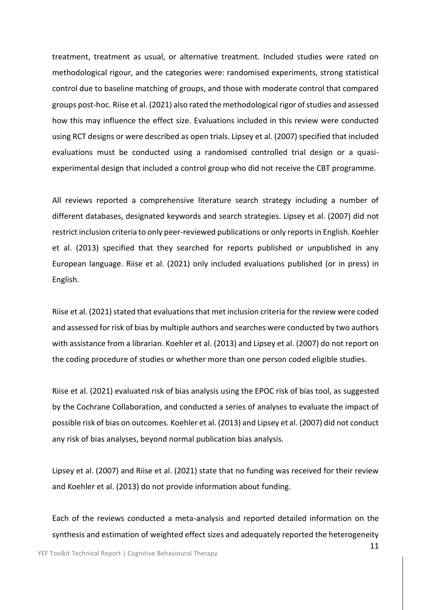treatment, treatment as usual, or alternative treatment. Included studies were rated on methodological rigour, and the categories were: randomised experiments, strong statistical control due to baseline matching of groups, and those with moderate control that compared groups post-hoc. Riise et al. (2021) also rated the methodological rigor of studies and assessed how this may influence the effect size. Evaluations included in this review were conducted using RCT designs or were described as open trials. Lipsey et al. (2007) specified that included evaluations must be conducted using a randomised controlled trial design or a quasiexperimental design that included a control group who did not receive the CBT programme.

All reviews reported a comprehensive literature search strategy including a number of different databases, designated keywords and search strategies. Lipsey et al. (2007) did not restrict inclusion criteria to only peer-reviewed publications or only reports in English. Koehler et al. (2013) specified that they searched for reports published or unpublished in any European language. Riise et al. (2021) only included evaluations published (or in press) in English.

Riise et al. (2021) stated that evaluations that met inclusion criteria for the review were coded and assessed for risk of bias by multiple authors and searches were conducted by two authors with assistance from a librarian. Koehler et al. (2013) and Lipsey et al. (2007) do not report on the coding procedure of studies or whether more than one person coded eligible studies.

Riise et al. (2021) evaluated risk of bias analysis using the EPOC risk of bias tool, as suggested by the Cochrane Collaboration, and conducted a series of analyses to evaluate the impact of possible risk of bias on outcomes. Koehler et al. (2013) and Lipsey et al. (2007) did not conduct any risk of bias analyses, beyond normal publication bias analysis.

Lipsey et al. (2007) and Riise et al. (2021) state that no funding was received for their review and Koehler et al. (2013) do not provide information about funding.

Each of the reviews conducted a meta-analysis and reported detailed information on the synthesis and estimation of weighted effect sizes and adequately reported the heterogeneity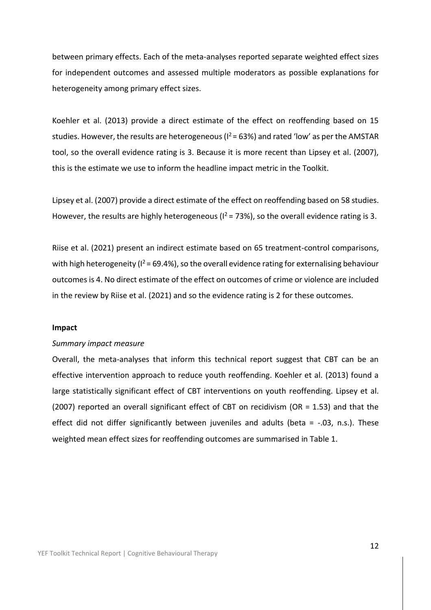between primary effects. Each of the meta-analyses reported separate weighted effect sizes for independent outcomes and assessed multiple moderators as possible explanations for heterogeneity among primary effect sizes.

Koehler et al. (2013) provide a direct estimate of the effect on reoffending based on 15 studies. However, the results are heterogeneous ( $1^2$  = 63%) and rated 'low' as per the AMSTAR tool, so the overall evidence rating is 3. Because it is more recent than Lipsey et al. (2007), this is the estimate we use to inform the headline impact metric in the Toolkit.

Lipsey et al. (2007) provide a direct estimate of the effect on reoffending based on 58 studies. However, the results are highly heterogeneous ( $I^2$  = 73%), so the overall evidence rating is 3.

Riise et al. (2021) present an indirect estimate based on 65 treatment-control comparisons, with high heterogeneity ( $1^2$  = 69.4%), so the overall evidence rating for externalising behaviour outcomes is 4. No direct estimate of the effect on outcomes of crime or violence are included in the review by Riise et al. (2021) and so the evidence rating is 2 for these outcomes.

#### **Impact**

#### *Summary impact measure*

Overall, the meta-analyses that inform this technical report suggest that CBT can be an effective intervention approach to reduce youth reoffending. Koehler et al. (2013) found a large statistically significant effect of CBT interventions on youth reoffending. Lipsey et al. (2007) reported an overall significant effect of CBT on recidivism (OR = 1.53) and that the effect did not differ significantly between juveniles and adults (beta =  $-0.03$ , n.s.). These weighted mean effect sizes for reoffending outcomes are summarised in Table 1.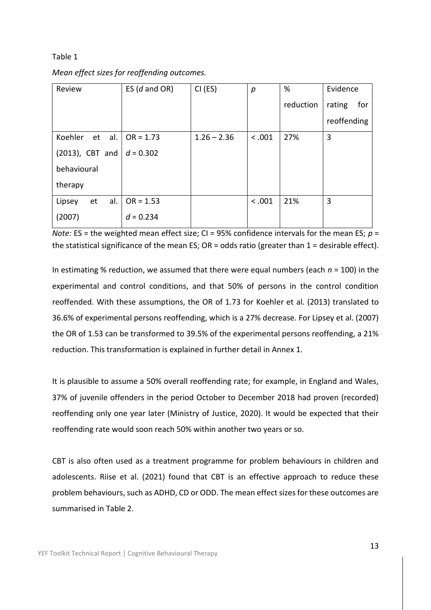#### Table 1

|  |  |  |  |  |  | Mean effect sizes for reoffending outcomes. |
|--|--|--|--|--|--|---------------------------------------------|
|--|--|--|--|--|--|---------------------------------------------|

| Review               | ES $(d \text{ and OR})$ | CI (ES)       | р      | %         | Evidence      |
|----------------------|-------------------------|---------------|--------|-----------|---------------|
|                      |                         |               |        | reduction | rating<br>for |
|                      |                         |               |        |           | reoffending   |
| al.<br>Koehler<br>et | $OR = 1.73$             | $1.26 - 2.36$ | < .001 | 27%       | 3             |
| (2013), CBT and      | $d = 0.302$             |               |        |           |               |
| behavioural          |                         |               |        |           |               |
| therapy              |                         |               |        |           |               |
| al.<br>Lipsey<br>et  | $OR = 1.53$             |               | < .001 | 21%       | 3             |
| (2007)               | $d = 0.234$             |               |        |           |               |

*Note:* ES = the weighted mean effect size; CI = 95% confidence intervals for the mean ES;  $p =$ the statistical significance of the mean ES;  $OR = odds$  ratio (greater than  $1 = desirable effect$ ).

In estimating % reduction, we assumed that there were equal numbers (each *n* = 100) in the experimental and control conditions, and that 50% of persons in the control condition reoffended. With these assumptions, the OR of 1.73 for Koehler et al. (2013) translated to 36.6% of experimental persons reoffending, which is a 27% decrease. For Lipsey et al. (2007) the OR of 1.53 can be transformed to 39.5% of the experimental persons reoffending, a 21% reduction. This transformation is explained in further detail in Annex 1.

It is plausible to assume a 50% overall reoffending rate; for example, in England and Wales, 37% of juvenile offenders in the period October to December 2018 had proven (recorded) reoffending only one year later (Ministry of Justice, 2020). It would be expected that their reoffending rate would soon reach 50% within another two years or so.

CBT is also often used as a treatment programme for problem behaviours in children and adolescents. Riise et al. (2021) found that CBT is an effective approach to reduce these problem behaviours, such as ADHD, CD or ODD. The mean effect sizes for these outcomes are summarised in Table 2.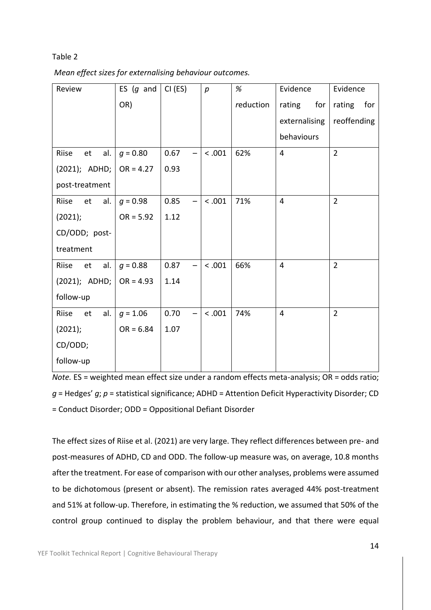#### Table 2

|  |  | Mean effect sizes for externalising behaviour outcomes. |
|--|--|---------------------------------------------------------|
|--|--|---------------------------------------------------------|

| Review                             | ES $(g$ and | CI (ES)                          | $\boldsymbol{p}$ | %         | Evidence       | Evidence       |
|------------------------------------|-------------|----------------------------------|------------------|-----------|----------------|----------------|
|                                    | OR)         |                                  |                  | reduction | rating<br>for  | rating<br>for  |
|                                    |             |                                  |                  |           | externalising  | reoffending    |
|                                    |             |                                  |                  |           | behaviours     |                |
| al.<br>Riise<br>et                 | $g = 0.80$  | 0.67                             | < .001           | 62%       | $\overline{4}$ | $\overline{2}$ |
| $(2021)$ ; ADHD; $\vert$ OR = 4.27 |             | 0.93                             |                  |           |                |                |
| post-treatment                     |             |                                  |                  |           |                |                |
| et<br>al.<br>Riise                 | $g = 0.98$  | 0.85<br>$\overline{\phantom{0}}$ | < .001           | 71%       | $\overline{4}$ | $\overline{2}$ |
| (2021);                            | $OR = 5.92$ | 1.12                             |                  |           |                |                |
| CD/ODD; post-                      |             |                                  |                  |           |                |                |
| treatment                          |             |                                  |                  |           |                |                |
| al.<br>Riise<br>et                 | $g = 0.88$  | 0.87                             | < .001           | 66%       | $\overline{4}$ | $\overline{2}$ |
| $(2021);$ ADHD;                    | $OR = 4.93$ | 1.14                             |                  |           |                |                |
| follow-up                          |             |                                  |                  |           |                |                |
| Riise<br>al.<br>et                 | $g = 1.06$  | 0.70<br>$\qquad \qquad -$        | < .001           | 74%       | $\overline{4}$ | $\overline{2}$ |
| (2021);                            | $OR = 6.84$ | 1.07                             |                  |           |                |                |
| CD/ODD;                            |             |                                  |                  |           |                |                |
| follow-up                          |             |                                  |                  |           |                |                |

*Note.* ES = weighted mean effect size under a random effects meta-analysis; OR = odds ratio; *g* = Hedges' *g*; *p* = statistical significance; ADHD = Attention Deficit Hyperactivity Disorder; CD = Conduct Disorder; ODD = Oppositional Defiant Disorder

The effect sizes of Riise et al. (2021) are very large. They reflect differences between pre- and post-measures of ADHD, CD and ODD. The follow-up measure was, on average, 10.8 months after the treatment. For ease of comparison with our other analyses, problems were assumed to be dichotomous (present or absent). The remission rates averaged 44% post-treatment and 51% at follow-up. Therefore, in estimating the % reduction, we assumed that 50% of the control group continued to display the problem behaviour, and that there were equal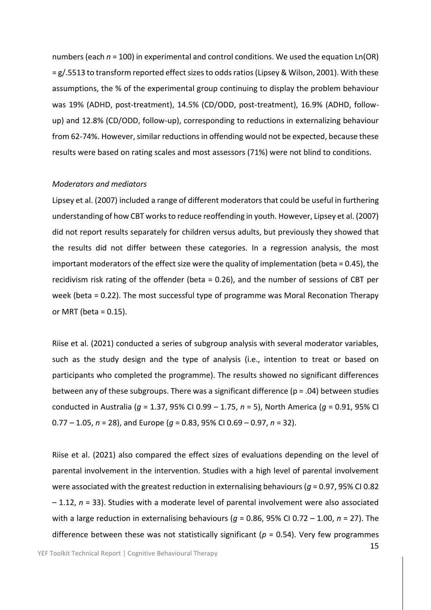numbers (each  $n = 100$ ) in experimental and control conditions. We used the equation Ln(OR) = g/.5513 to transform reported effect sizes to odds ratios (Lipsey & Wilson, 2001). With these assumptions, the % of the experimental group continuing to display the problem behaviour was 19% (ADHD, post-treatment), 14.5% (CD/ODD, post-treatment), 16.9% (ADHD, followup) and 12.8% (CD/ODD, follow-up), corresponding to reductions in externalizing behaviour from 62-74%. However, similar reductions in offending would not be expected, because these results were based on rating scales and most assessors (71%) were not blind to conditions.

#### *Moderators and mediators*

Lipsey et al. (2007) included a range of different moderators that could be useful in furthering understanding of how CBT works to reduce reoffending in youth. However, Lipsey et al. (2007) did not report results separately for children versus adults, but previously they showed that the results did not differ between these categories. In a regression analysis, the most important moderators of the effect size were the quality of implementation (beta = 0.45), the recidivism risk rating of the offender (beta = 0.26), and the number of sessions of CBT per week (beta = 0.22). The most successful type of programme was Moral Reconation Therapy or MRT (beta  $= 0.15$ ).

Riise et al. (2021) conducted a series of subgroup analysis with several moderator variables, such as the study design and the type of analysis (i.e., intention to treat or based on participants who completed the programme). The results showed no significant differences between any of these subgroups. There was a significant difference ( $p = .04$ ) between studies conducted in Australia (*g* = 1.37, 95% CI 0.99 – 1.75, *n* = 5), North America (*g* = 0.91, 95% CI 0.77 – 1.05, *n* = 28), and Europe (*g* = 0.83, 95% CI 0.69 – 0.97, *n* = 32).

Riise et al. (2021) also compared the effect sizes of evaluations depending on the level of parental involvement in the intervention. Studies with a high level of parental involvement were associated with the greatest reduction in externalising behaviours ( $g$  = 0.97, 95% CI 0.82 – 1.12, *n* = 33). Studies with a moderate level of parental involvement were also associated with a large reduction in externalising behaviours (*g* = 0.86, 95% CI 0.72 – 1.00, *n* = 27). The difference between these was not statistically significant (*p* = 0.54). Very few programmes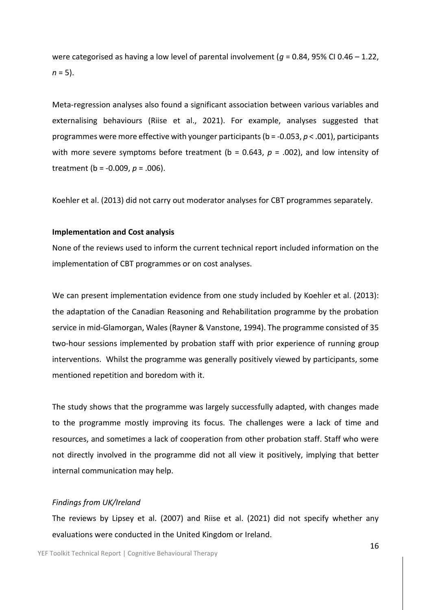were categorised as having a low level of parental involvement (*g* = 0.84, 95% CI 0.46 – 1.22,  $n = 5$ ).

Meta-regression analyses also found a significant association between various variables and externalising behaviours (Riise et al., 2021). For example, analyses suggested that programmes were more effective with younger participants (b = -0.053, *p* < .001), participants with more severe symptoms before treatment ( $b = 0.643$ ,  $p = .002$ ), and low intensity of treatment (b = -0.009, *p* = .006).

Koehler et al. (2013) did not carry out moderator analyses for CBT programmes separately.

#### **Implementation and Cost analysis**

None of the reviews used to inform the current technical report included information on the implementation of CBT programmes or on cost analyses.

We can present implementation evidence from one study included by Koehler et al. (2013): the adaptation of the Canadian Reasoning and Rehabilitation programme by the probation service in mid-Glamorgan, Wales (Rayner & Vanstone, 1994). The programme consisted of 35 two-hour sessions implemented by probation staff with prior experience of running group interventions. Whilst the programme was generally positively viewed by participants, some mentioned repetition and boredom with it.

The study shows that the programme was largely successfully adapted, with changes made to the programme mostly improving its focus. The challenges were a lack of time and resources, and sometimes a lack of cooperation from other probation staff. Staff who were not directly involved in the programme did not all view it positively, implying that better internal communication may help.

#### *Findings from UK/Ireland*

The reviews by Lipsey et al. (2007) and Riise et al. (2021) did not specify whether any evaluations were conducted in the United Kingdom or Ireland.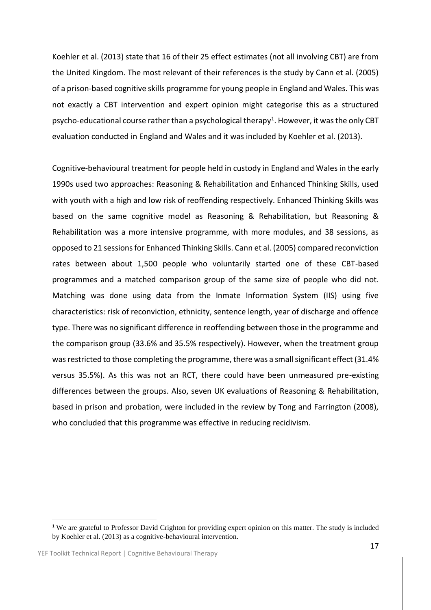Koehler et al. (2013) state that 16 of their 25 effect estimates (not all involving CBT) are from the United Kingdom. The most relevant of their references is the study by Cann et al. (2005) of a prison-based cognitive skills programme for young people in England and Wales. This was not exactly a CBT intervention and expert opinion might categorise this as a structured psycho-educational course rather than a psychological therapy $^1$ . However, it was the only CBT evaluation conducted in England and Wales and it was included by Koehler et al. (2013).

Cognitive-behavioural treatment for people held in custody in England and Wales in the early 1990s used two approaches: Reasoning & Rehabilitation and Enhanced Thinking Skills, used with youth with a high and low risk of reoffending respectively. Enhanced Thinking Skills was based on the same cognitive model as Reasoning & Rehabilitation, but Reasoning & Rehabilitation was a more intensive programme, with more modules, and 38 sessions, as opposed to 21 sessions for Enhanced Thinking Skills. Cann et al. (2005) compared reconviction rates between about 1,500 people who voluntarily started one of these CBT-based programmes and a matched comparison group of the same size of people who did not. Matching was done using data from the Inmate Information System (IIS) using five characteristics: risk of reconviction, ethnicity, sentence length, year of discharge and offence type. There was no significant difference in reoffending between those in the programme and the comparison group (33.6% and 35.5% respectively). However, when the treatment group was restricted to those completing the programme, there was a small significant effect (31.4% versus 35.5%). As this was not an RCT, there could have been unmeasured pre-existing differences between the groups. Also, seven UK evaluations of Reasoning & Rehabilitation, based in prison and probation, were included in the review by Tong and Farrington (2008), who concluded that this programme was effective in reducing recidivism.

<sup>&</sup>lt;sup>1</sup> We are grateful to Professor David Crighton for providing expert opinion on this matter. The study is included by Koehler et al. (2013) as a cognitive-behavioural intervention.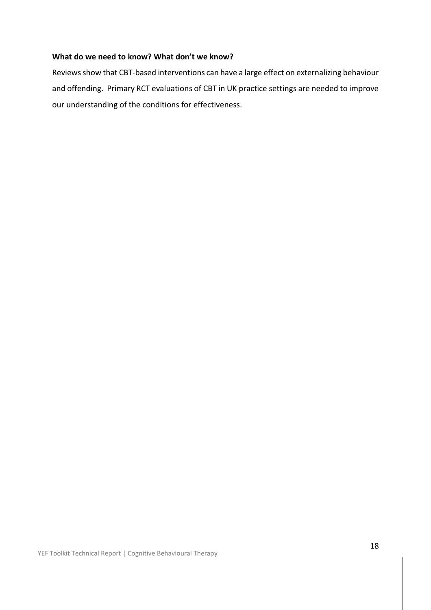# **What do we need to know? What don't we know?**

Reviews show that CBT-based interventions can have a large effect on externalizing behaviour and offending. Primary RCT evaluations of CBT in UK practice settings are needed to improve our understanding of the conditions for effectiveness.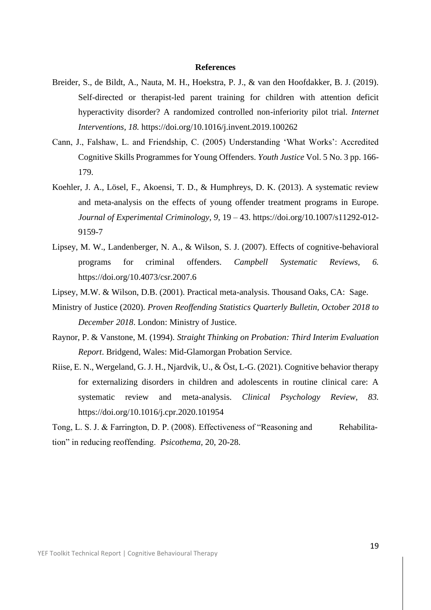#### **References**

- Breider, S., de Bildt, A., Nauta, M. H., Hoekstra, P. J., & van den Hoofdakker, B. J. (2019). Self-directed or therapist-led parent training for children with attention deficit hyperactivity disorder? A randomized controlled non-inferiority pilot trial. *Internet Interventions, 18.* https://doi.org/10.1016/j.invent.2019.100262
- Cann, J., Falshaw, L. and Friendship, C. (2005) Understanding 'What Works': Accredited Cognitive Skills Programmes for Young Offenders. *Youth Justice* Vol. 5 No. 3 pp. 166- 179.
- Koehler, J. A., Lösel, F., Akoensi, T. D., & Humphreys, D. K. (2013). A systematic review and meta-analysis on the effects of young offender treatment programs in Europe. *Journal of Experimental Criminology, 9,* 19 – 43. https://doi.org/10.1007/s11292-012- 9159-7
- Lipsey, M. W., Landenberger, N. A., & Wilson, S. J. (2007). Effects of cognitive-behavioral programs for criminal offenders. *Campbell Systematic Reviews, 6.*  https://doi.org/10.4073/csr.2007.6
- Lipsey, M.W. & Wilson, D.B. (2001). Practical meta-analysis. Thousand Oaks, CA: Sage.
- Ministry of Justice (2020). *Proven Reoffending Statistics Quarterly Bulletin, October 2018 to December 2018*. London: Ministry of Justice.
- Raynor, P. & Vanstone, M. (1994). *Straight Thinking on Probation: Third Interim Evaluation Report*. Bridgend, Wales: Mid-Glamorgan Probation Service.
- Riise, E. N., Wergeland, G. J. H., Njardvik, U., & Öst, L-G. (2021). Cognitive behavior therapy for externalizing disorders in children and adolescents in routine clinical care: A systematic review and meta-analysis. *Clinical Psychology Review, 83.*  https://doi.org/10.1016/j.cpr.2020.101954

Tong, L. S. J. & Farrington, D. P. (2008). Effectiveness of "Reasoning and Rehabilitation" in reducing reoffending. *Psicothema,* 20, 20-28.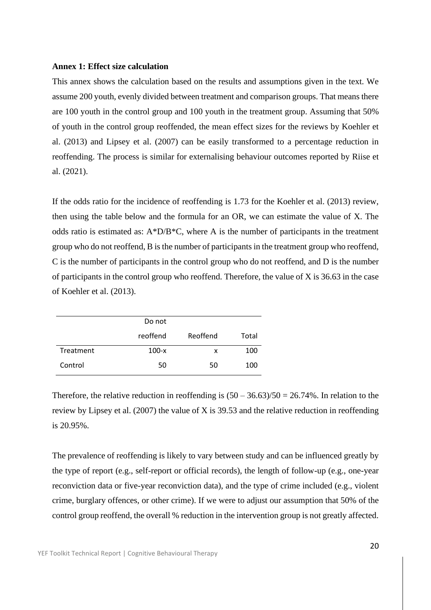#### **Annex 1: Effect size calculation**

This annex shows the calculation based on the results and assumptions given in the text. We assume 200 youth, evenly divided between treatment and comparison groups. That means there are 100 youth in the control group and 100 youth in the treatment group. Assuming that 50% of youth in the control group reoffended, the mean effect sizes for the reviews by Koehler et al. (2013) and Lipsey et al. (2007) can be easily transformed to a percentage reduction in reoffending. The process is similar for externalising behaviour outcomes reported by Riise et al. (2021).

If the odds ratio for the incidence of reoffending is 1.73 for the Koehler et al. (2013) review, then using the table below and the formula for an OR, we can estimate the value of X. The odds ratio is estimated as: A\*D/B\*C, where A is the number of participants in the treatment group who do not reoffend, B is the number of participants in the treatment group who reoffend, C is the number of participants in the control group who do not reoffend, and D is the number of participants in the control group who reoffend. Therefore, the value of X is 36.63 in the case of Koehler et al. (2013).

|           | Do not   |          |       |
|-----------|----------|----------|-------|
|           | reoffend | Reoffend | Total |
| Treatment | $100-x$  | x        | 100   |
| Control   | 50       | 50       | 100   |

Therefore, the relative reduction in reoffending is  $(50 - 36.63)/50 = 26.74\%$ . In relation to the review by Lipsey et al. (2007) the value of X is 39.53 and the relative reduction in reoffending is 20.95%.

The prevalence of reoffending is likely to vary between study and can be influenced greatly by the type of report (e.g., self-report or official records), the length of follow-up (e.g., one-year reconviction data or five-year reconviction data), and the type of crime included (e.g., violent crime, burglary offences, or other crime). If we were to adjust our assumption that 50% of the control group reoffend, the overall % reduction in the intervention group is not greatly affected.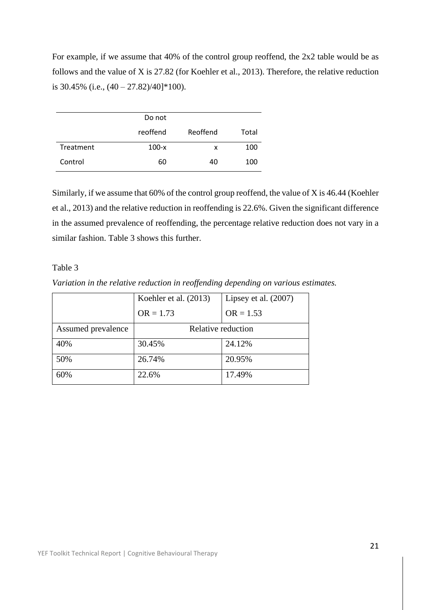For example, if we assume that 40% of the control group reoffend, the 2x2 table would be as follows and the value of X is 27.82 (for Koehler et al., 2013). Therefore, the relative reduction is 30.45% (i.e.,  $(40 - 27.82)/40$ ]\*100).

|           | Do not   |          |       |
|-----------|----------|----------|-------|
|           | reoffend | Reoffend | Total |
| Treatment | $100-x$  | x        | 100   |
| Control   | 60       | 40       | 100   |

Similarly, if we assume that 60% of the control group reoffend, the value of X is 46.44 (Koehler et al., 2013) and the relative reduction in reoffending is 22.6%. Given the significant difference in the assumed prevalence of reoffending, the percentage relative reduction does not vary in a similar fashion. Table 3 shows this further.

# Table 3

*Variation in the relative reduction in reoffending depending on various estimates.* 

|                    | Koehler et al. (2013) | Lipsey et al. $(2007)$ |
|--------------------|-----------------------|------------------------|
|                    | $OR = 1.73$           | $OR = 1.53$            |
| Assumed prevalence | Relative reduction    |                        |
| 40%                | 30.45%                | 24.12%                 |
| 50%                | 26.74%                | 20.95%                 |
| 60%                | 22.6%                 | 17.49%                 |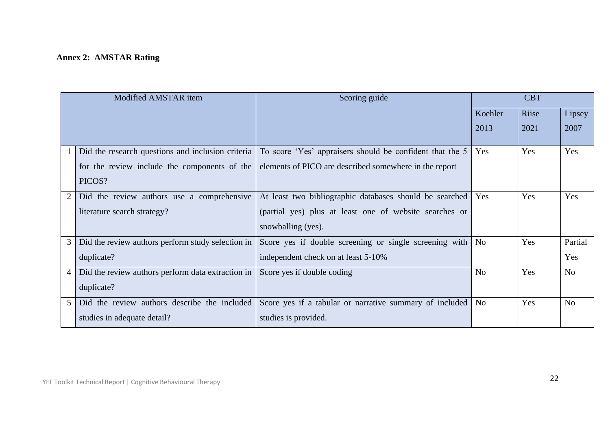# **Annex 2: AMSTAR Rating**

| Modified AMSTAR item |                                                   | Scoring guide                                            | <b>CBT</b>     |       |                |
|----------------------|---------------------------------------------------|----------------------------------------------------------|----------------|-------|----------------|
|                      |                                                   |                                                          | Koehler        | Riise | Lipsey         |
|                      |                                                   |                                                          | 2013           | 2021  | 2007           |
|                      | Did the research questions and inclusion criteria | To score 'Yes' appraisers should be confident that the 5 | Yes            | Yes   | Yes            |
|                      | for the review include the components of the      | elements of PICO are described somewhere in the report   |                |       |                |
|                      | PICOS?                                            |                                                          |                |       |                |
|                      | Did the review authors use a comprehensive        | At least two bibliographic databases should be searched  | Yes            | Yes   | Yes            |
|                      | literature search strategy?                       | (partial yes) plus at least one of website searches or   |                |       |                |
|                      |                                                   | snowballing (yes).                                       |                |       |                |
| 3                    | Did the review authors perform study selection in | Score yes if double screening or single screening with   | N <sub>o</sub> | Yes   | Partial        |
|                      | duplicate?                                        | independent check on at least 5-10%                      |                |       | Yes            |
| 4                    | Did the review authors perform data extraction in | Score yes if double coding                               | N <sub>o</sub> | Yes   | N <sub>o</sub> |
|                      | duplicate?                                        |                                                          |                |       |                |
| 5                    | Did the review authors describe the included      | Score yes if a tabular or narrative summary of included  | N <sub>o</sub> | Yes   | No             |
|                      | studies in adequate detail?                       | studies is provided.                                     |                |       |                |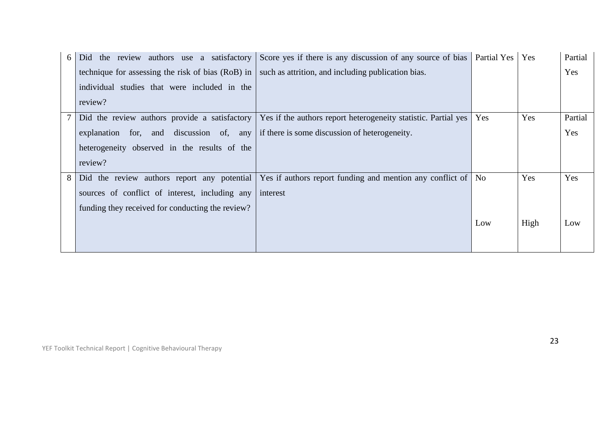| 6 | Did the review authors use a satisfactory         | Score yes if there is any discussion of any source of bias     | Partial Yes | Yes  | Partial |
|---|---------------------------------------------------|----------------------------------------------------------------|-------------|------|---------|
|   | technique for assessing the risk of bias (RoB) in | such as attrition, and including publication bias.             |             |      | Yes     |
|   | individual studies that were included in the      |                                                                |             |      |         |
|   | review?                                           |                                                                |             |      |         |
|   | Did the review authors provide a satisfactory     | Yes if the authors report heterogeneity statistic. Partial yes | Yes         | Yes  | Partial |
|   | explanation for, and discussion of, any           | if there is some discussion of heterogeneity.                  |             |      | Yes     |
|   | heterogeneity observed in the results of the      |                                                                |             |      |         |
|   | review?                                           |                                                                |             |      |         |
| 8 | Did the review authors report any potential       | Yes if authors report funding and mention any conflict of      | No.         | Yes  | Yes     |
|   | sources of conflict of interest, including any    | interest                                                       |             |      |         |
|   | funding they received for conducting the review?  |                                                                |             |      |         |
|   |                                                   |                                                                | Low         | High | Low     |
|   |                                                   |                                                                |             |      |         |
|   |                                                   |                                                                |             |      |         |

YEF Toolkit Technical Report | Cognitive Behavioural Therapy

 $\overline{\phantom{a}}$